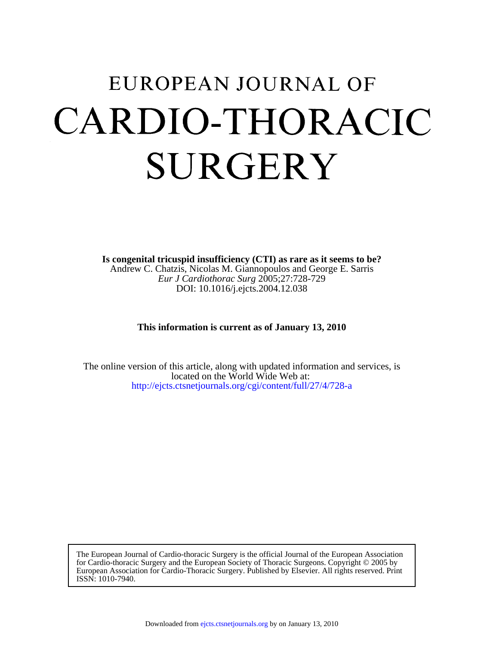# EUROPEAN JOURNAL OF CARDIO-THORACIC SURGERY

DOI: 10.1016/j.ejcts.2004.12.038 *Eur J Cardiothorac Surg* 2005;27:728-729 Andrew C. Chatzis, Nicolas M. Giannopoulos and George E. Sarris **Is congenital tricuspid insufficiency (CTI) as rare as it seems to be?**

**This information is current as of January 13, 2010** 

<http://ejcts.ctsnetjournals.org/cgi/content/full/27/4/728-a> located on the World Wide Web at: The online version of this article, along with updated information and services, is

ISSN: 1010-7940. European Association for Cardio-Thoracic Surgery. Published by Elsevier. All rights reserved. Print for Cardio-thoracic Surgery and the European Society of Thoracic Surgeons. Copyright © 2005 by The European Journal of Cardio-thoracic Surgery is the official Journal of the European Association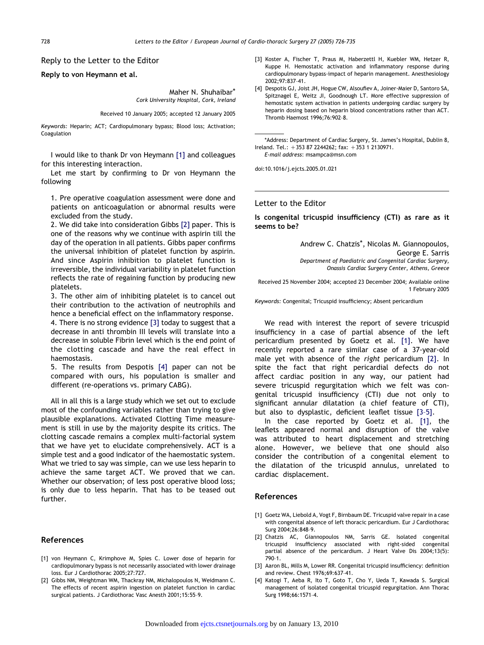#### Reply to the Letter to the Editor

#### Reply to von Heymann et al.

Maher N. Shuhaibar\* Cork University Hospital, Cork, Ireland

Received 10 January 2005; accepted 12 January 2005

Keywords: Heparin; ACT; Cardiopulmonary bypass; Blood loss; Activation; Coagulation

I would like to thank Dr von Heymann [1] and colleagues for this interesting interaction.

Let me start by confirming to Dr von Heymann the following

1. Pre operative coagulation assessment were done and patients on anticoagulation or abnormal results were excluded from the study.

2. We did take into consideration Gibbs [2] paper. This is one of the reasons why we continue with aspirin till the day of the operation in all patients. Gibbs paper confirms the universal inhibition of platelet function by aspirin. And since Aspirin inhibition to platelet function is irreversible, the individual variability in platelet function reflects the rate of regaining function by producing new platelets.

3. The other aim of inhibiting platelet is to cancel out their contribution to the activation of neutrophils and hence a beneficial effect on the inflammatory response.

4. There is no strong evidence [3] today to suggest that a decrease in anti thrombin III levels will translate into a decrease in soluble Fibrin level which is the end point of the clotting cascade and have the real effect in haemostasis.

5. The results from Despotis [4] paper can not be compared with ours, his population is smaller and different (re-operations vs. primary CABG).

All in all this is a large study which we set out to exclude most of the confounding variables rather than trying to give plausible explanations. Activated Clotting Time measurement is still in use by the majority despite its critics. The clotting cascade remains a complex multi-factorial system that we have yet to elucidate comprehensively. ACT is a simple test and a good indicator of the haemostatic system. What we tried to say was simple, can we use less heparin to achieve the same target ACT. We proved that we can. Whether our observation; of less post operative blood loss; is only due to less heparin. That has to be teased out further.

#### References

- [1] von Heymann C, Krimphove M, Spies C. Lower dose of heparin for cardiopulmonary bypass is not necessarily associated with lower drainage loss. Eur J Cardiothorac 2005;27:727.
- [2] Gibbs NM, Weightman WM, Thackray NM, Michalopoulos N, Weidmann C. The effects of recent aspirin ingestion on platelet function in cardiac surgical patients. J Cardiothorac Vasc Anesth 2001;15:55–9.
- [3] Koster A, Fischer T, Praus M, Haberzettl H, Kuebler WM, Hetzer R, Kuppe H. Hemostatic activation and inflammatory response during cardiopulmonary bypass-impact of heparin management. Anesthesiology 2002;97:837–41.
- [4] Despotis GJ, Joist JH, Hogue CW, Alsoufiev A, Joiner-Maier D, Santoro SA, Spitznagel E, Weitz JI, Goodnough LT. More effective suppression of hemostatic system activation in patients undergoing cardiac surgery by heparin dosing based on heparin blood concentrations rather than ACT. Thromb Haemost 1996;76:902–8.

\*Address: Department of Cardiac Surgery, St. James's Hospital, Dublin 8, Ireland. Tel.:  $+353 87 2244262$ ; fax:  $+353 1 2130971$ .

E-mail address: msampca@msn.com

doi:10.1016/j.ejcts.2005.01.021

#### Letter to the Editor

Is congenital tricuspid insufficiency (CTI) as rare as it seems to be?

> Andrew C. Chatzis\*, Nicolas M. Giannopoulos, George E. Sarris Department of Paediatric and Congenital Cardiac Surgery, Onassis Cardiac Surgery Center, Athens, Greece

Received 25 November 2004; accepted 23 December 2004; Available online 1 February 2005

Keywords: Congenital; Tricuspid insufficiency; Absent pericardium

We read with interest the report of severe tricuspid insufficiency in a case of partial absence of the left pericardium presented by Goetz et al. [1]. We have recently reported a rare similar case of a 37-year-old male yet with absence of the right pericardium [2]. In spite the fact that right pericardial defects do not affect cardiac position in any way, our patient had severe tricuspid regurgitation which we felt was congenital tricuspid insufficiency (CTI) due not only to significant annular dilatation (a chief feature of CTI), but also to dysplastic, deficient leaflet tissue [3–5].

In the case reported by Goetz et al. [1], the leaflets appeared normal and disruption of the valve was attributed to heart displacement and stretching alone. However, we believe that one should also consider the contribution of a congenital element to the dilatation of the tricuspid annulus, unrelated to cardiac displacement.

#### References

- [1] Goetz WA, Liebold A, Vogt F, Birnbaum DE. Tricuspid valve repair in a case with congenital absence of left thoracic pericardium. Eur J Cardiothorac Surg 2004;26:848–9.
- [2] Chatzis AC, Giannopoulos NM, Sarris GE. Isolated congenital tricuspid insufficiency associated with right-sided congenital partial absence of the pericardium. J Heart Valve Dis 2004;13(5): 790–1.
- [3] Aaron BL, Mills M, Lower RR. Congenital tricuspid insufficiency: definition and review. Chest 1976;69:637–41.
- [4] Katogi T, Aeba R, Ito T, Goto T, Cho Y, Ueda T, Kawada S. Surgical management of isolated congenital tricuspid regurgitation. Ann Thorac Surg 1998;66:1571–4.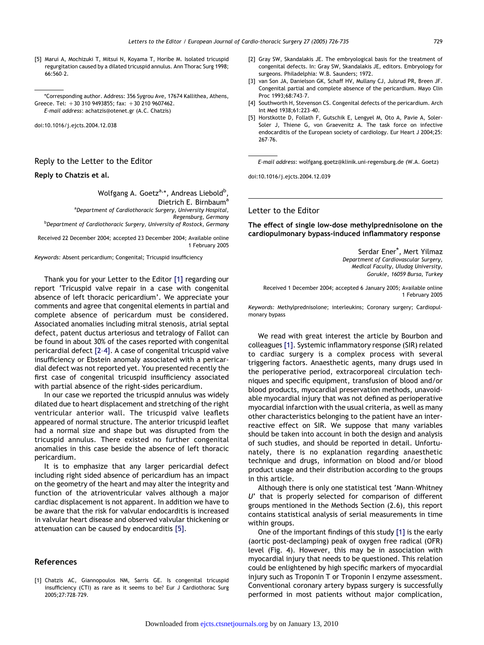[5] Marui A, Mochizuki T, Mitsui N, Koyama T, Horibe M. Isolated tricuspid regurgitation caused by a dilated tricuspid annulus. Ann Thorac Surg 1998; 66:560–2.

\*Corresponding author. Address: 356 Sygrou Ave, 17674 Kallithea, Athens, Greece. Tel:  $+30$  310 9493855; fax:  $+30$  210 9607462. E-mail address: achatzis@otenet.gr (A.C. Chatzis)

doi:10.1016/j.ejcts.2004.12.038

# Reply to the Letter to the Editor

#### Reply to Chatzis et al.

Wolfgang A. Goetz<sup>a,</sup>\*, Andreas Liebold<sup>b</sup>, Dietrich E. Birnbaum<sup>a</sup> <sup>a</sup>Department of Cardiothoracic Surgery, University Hospital, Regensburg, Germany **b** Department of Cardiothoracic Surgery, University of Rostock, Germany

Received 22 December 2004; accepted 23 December 2004; Available online 1 February 2005

Keywords: Absent pericardium; Congenital; Tricuspid insufficiency

Thank you for your Letter to the Editor [1] regarding our report 'Tricuspid valve repair in a case with congenital absence of left thoracic pericardium'. We appreciate your comments and agree that congenital elements in partial and complete absence of pericardum must be considered. Associated anomalies including mitral stenosis, atrial septal defect, patent ductus arteriosus and tetralogy of Fallot can be found in about 30% of the cases reported with congenital pericardial defect [2–4]. A case of congenital tricuspid valve insufficiency or Ebstein anomaly associated with a pericardial defect was not reported yet. You presented recently the first case of congenital tricuspid insufficiency associated with partial absence of the right-sides pericardium.

In our case we reported the tricuspid annulus was widely dilated due to heart displacement and stretching of the right ventricular anterior wall. The tricuspid valve leaflets appeared of normal structure. The anterior tricuspid leaflet had a normal size and shape but was disrupted from the tricuspid annulus. There existed no further congenital anomalies in this case beside the absence of left thoracic pericardium.

It is to emphasize that any larger pericardial defect including right sided absence of pericardium has an impact on the geometry of the heart and may alter the integrity and function of the atrioventricular valves although a major cardiac displacement is not apparent. In addition we have to be aware that the risk for valvular endocarditis is increased in valvular heart disease and observed valvular thickening or attenuation can be caused by endocarditis [5].

#### References

[1] Chatzis AC, Giannopoulos NM, Sarris GE. Is congenital tricuspid insufficiency (CTI) as rare as it seems to be? Eur J Cardiothorac Surg 2005;27:728–729.

- [2] Gray SW, Skandalakis JE. The embryological basis for the treatment of congenital defects. In: Gray SW, Skandalakis JE, editors. Embryology for surgeons. Philadelphia: W.B. Saunders; 1972.
- [3] van Son JA, Danielson GK, Schaff HV, Mullany CJ, Julsrud PR, Breen JF. Congenital partial and complete absence of the pericardium. Mayo Clin Proc 1993;68:743–7.
- [4] Southworth H, Stevenson CS. Congenital defects of the pericardium. Arch Int Med 1938;61:223–40.
- [5] Horstkotte D, Follath F, Gutschik E, Lengyel M, Oto A, Pavie A, Soler-Soler J, Thiene G, von Graevenitz A. The task force on infective endocarditis of the European society of cardiology. Eur Heart J 2004;25: 267–76.

E-mail address: wolfgang.goetz@klinik.uni-regensburg.de (W.A. Goetz)

doi:10.1016/j.ejcts.2004.12.039

### Letter to the Editor

The effect of single low-dose methylprednisolone on the cardiopulmonary bypass-induced inflammatory response

> Serdar Ener\*, Mert Yilmaz Department of Cardiovascular Surgery, Medical Faculty, Uludag University, Gorukle, 16059 Bursa, Turkey

Received 1 December 2004; accepted 6 January 2005; Available online 1 February 2005

Keywords: Methylprednisolone; interleukins; Coronary surgery; Cardiopulmonary bypass

We read with great interest the article by Bourbon and colleagues [\[1\].](#page--1-0) Systemic inflammatory response (SIR) related to cardiac surgery is a complex process with several triggering factors. Anaesthetic agents, many drugs used in the perioperative period, extracorporeal circulation techniques and specific equipment, transfusion of blood and/or blood products, myocardial preservation methods, unavoidable myocardial injury that was not defined as perioperative myocardial infarction with the usual criteria, as well as many other characteristics belonging to the patient have an interreactive effect on SIR. We suppose that many variables should be taken into account in both the design and analysis of such studies, and should be reported in detail. Unfortunately, there is no explanation regarding anaesthetic technique and drugs, information on blood and/or blood product usage and their distribution according to the groups in this article.

Although there is only one statistical test 'Mann–Whitney U' that is properly selected for comparison of different groups mentioned in the Methods Section (2.6), this report contains statistical analysis of serial measurements in time within groups.

One of the important findings of this study [\[1\]](#page--1-0) is the early (aortic post-declamping) peak of oxygen free radical (OFR) level (Fig. 4). However, this may be in association with myocardial injury that needs to be questioned. This relation could be enlightened by high specific markers of myocardial injury such as Troponin T or Troponin I enzyme assessment. Conventional coronary artery bypass surgery is successfully performed in most patients without major complication,